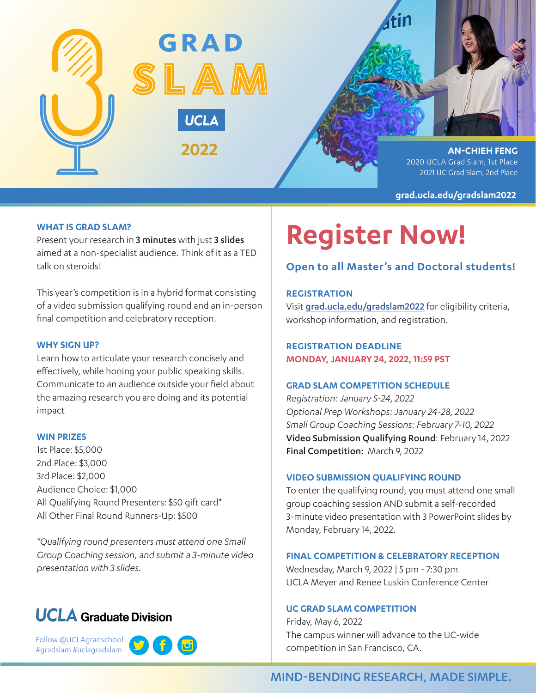

**AN-CHIEH FENG** 2020 UCLA Grad Slam, 1st Place 2021 UC Grad Slam, 2nd Place

**grad.ucla.edu/gradslam2022**

# **WHAT IS GRAD SLAM?**

Present your research in 3 minutes with just 3 slides aimed at a non-specialist audience. Think of it as a TED talk on steroids!

This year's competition is in a hybrid format consisting of a video submission qualifying round and an in-person final competition and celebratory reception.

## **WHY SIGN UP?**

Learn how to articulate your research concisely and effectively, while honing your public speaking skills. Communicate to an audience outside your field about the amazing research you are doing and its potential impact

#### **WIN PRIZES**

1st Place: \$5,000 2nd Place: \$3,000 3rd Place: \$2,000 Audience Choice: \$1,000 All Qualifying Round Presenters: \$50 gift card\* All Other Final Round Runners-Up: \$500

*\*Qualifying round presenters must attend one Small Group Coaching session, and submit a 3-minute video presentation with 3 slides.*

# **UCLA** Graduate Division

Follow @UCLAgradschool #gradslam #uclagradslam



# **Register Now!**

# **Open to all Master's and Doctoral students!**

# **REGISTRATION**

Visit grad.ucla.edu/gradslam2022 for eligibility criteria, workshop information, and registration.

**REGISTRATION DEADLINE MONDAY, JANUARY 24, 2022, 11:59 PST**

# **GRAD SLAM COMPETITION SCHEDULE**

*Registration: January 5-24, 2022 Optional Prep Workshops: January 24-28, 2022 Small Group Coaching Sessions: February 7-10, 2022* Video Submission Qualifying Round: February 14, 2022 Final Competition: March 9, 2022

# **VIDEO SUBMISSION QUALIFYING ROUND**

To enter the qualifying round, you must attend one small group coaching session AND submit a self-recorded 3-minute video presentation with 3 PowerPoint slides by Monday, February 14, 2022.

## **FINAL COMPETITION & CELEBRATORY RECEPTION**

Wednesday, March 9, 2022 | 5 pm - 7:30 pm UCLA Meyer and Renee Luskin Conference Center

# **UC GRAD SLAM COMPETITION**

Friday, May 6, 2022 The campus winner will advance to the UC-wide competition in San Francisco, CA.

# MIND-BENDING RESEARCH, MADE SIMPLE.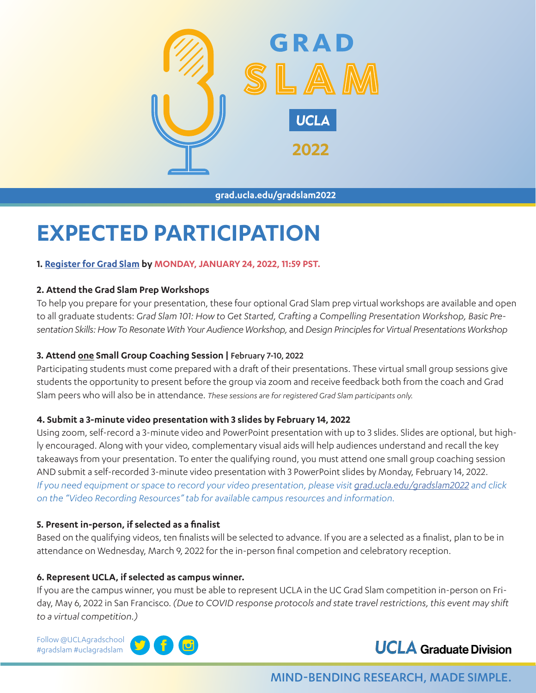

**grad.ucla.edu/gradslam2022**

# **EXPECTED PARTICIPATION**

# **1. Register for Grad Slam by MONDAY, JANUARY 24, 2022, 11:59 PST.**

# **2. Attend the Grad Slam Prep Workshops**

To help you prepare for your presentation, these four optional Grad Slam prep virtual workshops are available and open to all graduate students: *Grad Slam 101: How to Get Started, Crafting a Compelling Presentation Workshop, Basic Presentation Skills: How To Resonate With Your Audience Workshop,* and *Design Principles for Virtual Presentations Workshop* 

# **3. Attend one Small Group Coaching Session |** February 7-10, 2022

Participating students must come prepared with a draft of their presentations. These virtual small group sessions give students the opportunity to present before the group via zoom and receive feedback both from the coach and Grad Slam peers who will also be in attendance. *These sessions are for registered Grad Slam participants only.* 

# **4. Submit a 3-minute video presentation with 3 slides by February 14, 2022**

Using zoom, self-record a 3-minute video and PowerPoint presentation with up to 3 slides. Slides are optional, but highly encouraged. Along with your video, complementary visual aids will help audiences understand and recall the key takeaways from your presentation. To enter the qualifying round, you must attend one small group coaching session AND submit a self-recorded 3-minute video presentation with 3 PowerPoint slides by Monday, February 14, 2022. *If you need equipment or space to record your video presentation, please visit grad.ucla.edu/gradslam2022 and click on the "Video Recording Resources" tab for available campus resources and information.*

# **5. Present in-person, if selected as a finalist**

Based on the qualifying videos, ten finalists will be selected to advance. If you are a selected as a finalist, plan to be in attendance on Wednesday, March 9, 2022 for the in-person final competion and celebratory reception.

# **6. Represent UCLA, if selected as campus winner.**

If you are the campus winner, you must be able to represent UCLA in the UC Grad Slam competition in-person on Friday, May 6, 2022 in San Francisco. *(Due to COVID response protocols and state travel restrictions, this event may shift to a virtual competition.)*

Follow @UCLAgradschool #gradslam #uclagradslam